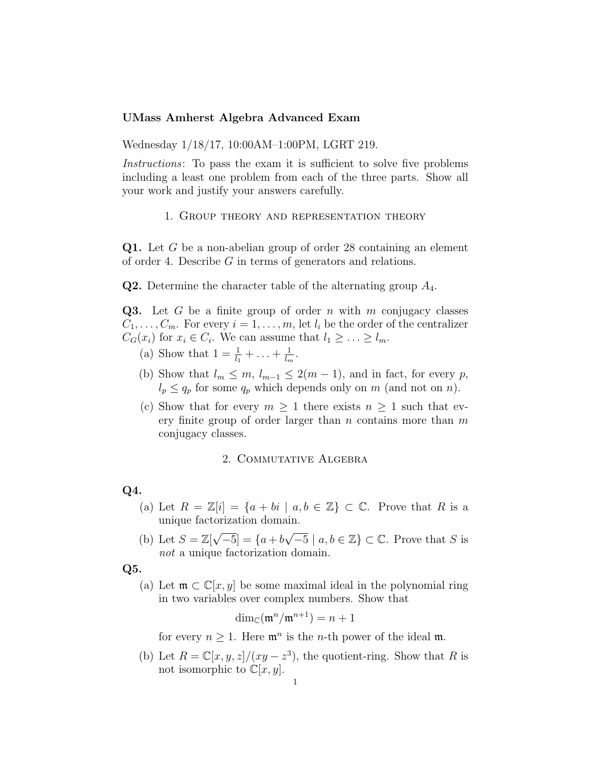## UMass Amherst Algebra Advanced Exam

Wednesday 1/18/17, 10:00AM–1:00PM, LGRT 219.

Instructions: To pass the exam it is sufficient to solve five problems including a least one problem from each of the three parts. Show all your work and justify your answers carefully.

## 1. Group theory and representation theory

Q1. Let G be a non-abelian group of order 28 containing an element of order 4. Describe G in terms of generators and relations.

**Q2.** Determine the character table of the alternating group  $A_4$ .

Q3. Let G be a finite group of order n with m conjugacy classes  $C_1, \ldots, C_m$ . For every  $i = 1, \ldots, m$ , let  $l_i$  be the order of the centralizer  $C_G(x_i)$  for  $x_i \in C_i$ . We can assume that  $l_1 \geq \ldots \geq l_m$ .

- (a) Show that  $1 = \frac{1}{l_1} + \ldots + \frac{1}{l_n}$  $\frac{1}{l_m}$ .
- (b) Show that  $l_m \leq m$ ,  $l_{m-1} \leq 2(m-1)$ , and in fact, for every p,  $l_p \leq q_p$  for some  $q_p$  which depends only on m (and not on n).
- (c) Show that for every  $m \geq 1$  there exists  $n \geq 1$  such that every finite group of order larger than  $n$  contains more than  $m$ conjugacy classes.

## 2. Commutative Algebra

## Q4.

- (a) Let  $R = \mathbb{Z}[i] = \{a + bi \mid a, b \in \mathbb{Z}\}\subset \mathbb{C}$ . Prove that R is a unique factorization domain.
- (b) Let  $S = \mathbb{Z}[\sqrt{\}$  $\overline{-5}$ ] = {a+b}  $\sqrt{-5}$  |  $a, b \in \mathbb{Z}$ }  $\subset \mathbb{C}$ . Prove that S is not a unique factorization domain.
- Q5.
	- (a) Let  $\mathfrak{m} \subset \mathbb{C}[x, y]$  be some maximal ideal in the polynomial ring in two variables over complex numbers. Show that

$$
\dim_{\mathbb{C}}(\mathfrak{m}^n/\mathfrak{m}^{n+1}) = n+1
$$

for every  $n \geq 1$ . Here  $\mathfrak{m}^n$  is the *n*-th power of the ideal  $\mathfrak{m}$ .

(b) Let  $R = \mathbb{C}[x, y, z]/(xy - z^3)$ , the quotient-ring. Show that R is not isomorphic to  $\mathbb{C}[x, y]$ .